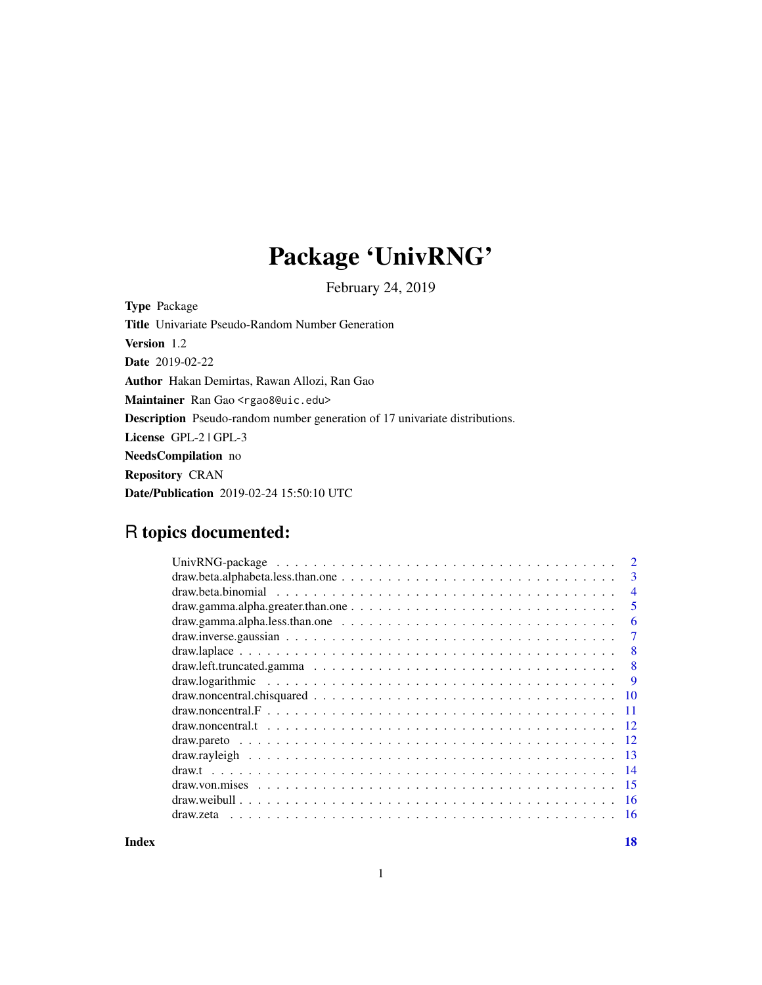## Package 'UnivRNG'

February 24, 2019

Type Package Title Univariate Pseudo-Random Number Generation Version 1.2 Date 2019-02-22 Author Hakan Demirtas, Rawan Allozi, Ran Gao Maintainer Ran Gao <rgao8@uic.edu> Description Pseudo-random number generation of 17 univariate distributions. License GPL-2 | GPL-3 NeedsCompilation no Repository CRAN Date/Publication 2019-02-24 15:50:10 UTC

## R topics documented:

|                                                                                                                           | $\mathfrak{D}$ |
|---------------------------------------------------------------------------------------------------------------------------|----------------|
|                                                                                                                           | 3              |
|                                                                                                                           | $\overline{4}$ |
| $draw.gamma.alpha.greatest.than. One \dots \dots \dots \dots \dots \dots \dots \dots \dots \dots \dots \dots \dots$       | 5              |
| $draw. gamma. alpha. less. than. one \dots \dots \dots \dots \dots \dots \dots \dots \dots \dots \dots \dots \dots \dots$ | 6              |
|                                                                                                                           | 7              |
|                                                                                                                           | 8              |
|                                                                                                                           | 8              |
|                                                                                                                           | 9              |
|                                                                                                                           | <b>10</b>      |
|                                                                                                                           | 11             |
|                                                                                                                           | -12            |
|                                                                                                                           | -12            |
|                                                                                                                           | -13            |
|                                                                                                                           | -14            |
|                                                                                                                           | -15            |
|                                                                                                                           | - 16           |
| draw zeta                                                                                                                 | - 16           |
|                                                                                                                           |                |

**Index** 2008 **[18](#page-17-0)**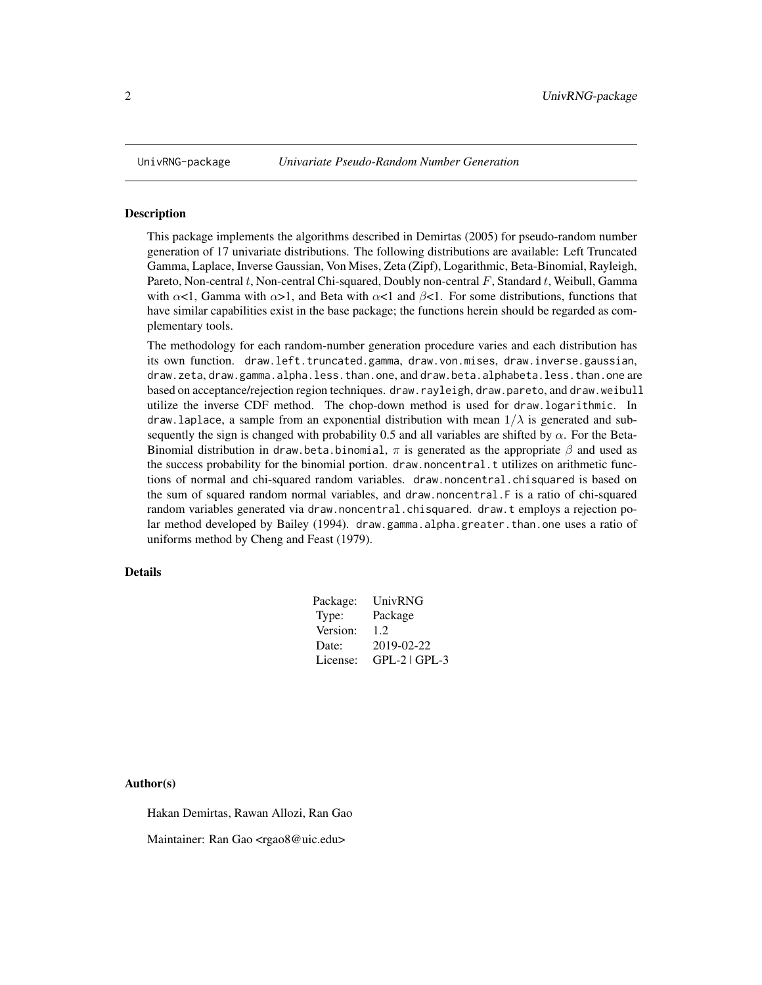<span id="page-1-0"></span>

This package implements the algorithms described in Demirtas (2005) for pseudo-random number generation of 17 univariate distributions. The following distributions are available: Left Truncated Gamma, Laplace, Inverse Gaussian, Von Mises, Zeta (Zipf), Logarithmic, Beta-Binomial, Rayleigh, Pareto, Non-central t, Non-central Chi-squared, Doubly non-central  $F$ , Standard t, Weibull, Gamma with  $\alpha$ <1, Gamma with  $\alpha$ >1, and Beta with  $\alpha$ <1 and  $\beta$ <1. For some distributions, functions that have similar capabilities exist in the base package; the functions herein should be regarded as complementary tools.

The methodology for each random-number generation procedure varies and each distribution has its own function. draw.left.truncated.gamma, draw.von.mises, draw.inverse.gaussian, draw.zeta, draw.gamma.alpha.less.than.one, and draw.beta.alphabeta.less.than.one are based on acceptance/rejection region techniques. draw.rayleigh, draw.pareto, and draw.weibull utilize the inverse CDF method. The chop-down method is used for draw.logarithmic. In draw. laplace, a sample from an exponential distribution with mean  $1/\lambda$  is generated and subsequently the sign is changed with probability 0.5 and all variables are shifted by  $\alpha$ . For the Beta-Binomial distribution in draw.beta.binomial,  $\pi$  is generated as the appropriate  $\beta$  and used as the success probability for the binomial portion. draw.noncentral.t utilizes on arithmetic functions of normal and chi-squared random variables. draw.noncentral.chisquared is based on the sum of squared random normal variables, and draw.noncentral.F is a ratio of chi-squared random variables generated via draw.noncentral.chisquared. draw.t employs a rejection polar method developed by Bailey (1994). draw.gamma.alpha.greater.than.one uses a ratio of uniforms method by Cheng and Feast (1979).

## Details

| Package: | UnivRNG           |
|----------|-------------------|
| Type:    | Package           |
| Version: | 1.2               |
| Date:    | 2019-02-22        |
| License: | $GPL-2$   $GPL-3$ |

Author(s)

Hakan Demirtas, Rawan Allozi, Ran Gao

Maintainer: Ran Gao <rgao8@uic.edu>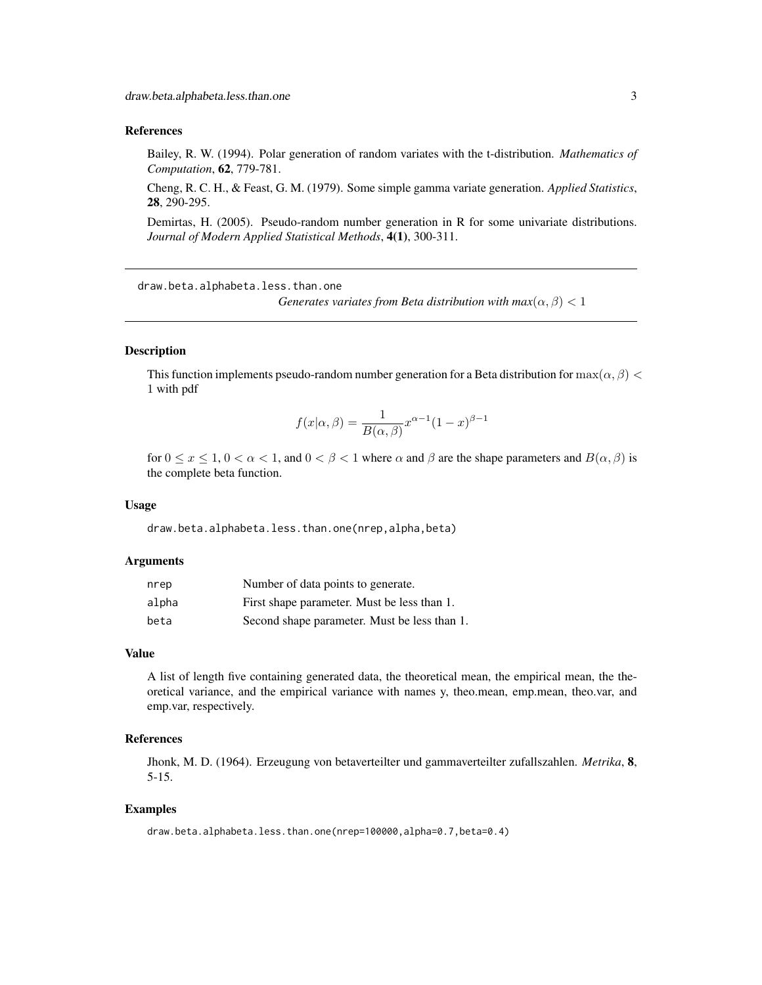#### <span id="page-2-0"></span>References

Bailey, R. W. (1994). Polar generation of random variates with the t-distribution. *Mathematics of Computation*, 62, 779-781.

Cheng, R. C. H., & Feast, G. M. (1979). Some simple gamma variate generation. *Applied Statistics*, 28, 290-295.

Demirtas, H. (2005). Pseudo-random number generation in R for some univariate distributions. *Journal of Modern Applied Statistical Methods*, 4(1), 300-311.

draw.beta.alphabeta.less.than.one

*Generates variates from Beta distribution with max* $(\alpha, \beta) < 1$ 

#### Description

This function implements pseudo-random number generation for a Beta distribution for  $\max(\alpha, \beta)$ 1 with pdf

$$
f(x|\alpha, \beta) = \frac{1}{B(\alpha, \beta)} x^{\alpha - 1} (1 - x)^{\beta - 1}
$$

for  $0 \le x \le 1$ ,  $0 < \alpha < 1$ , and  $0 < \beta < 1$  where  $\alpha$  and  $\beta$  are the shape parameters and  $B(\alpha, \beta)$  is the complete beta function.

#### Usage

draw.beta.alphabeta.less.than.one(nrep,alpha,beta)

#### Arguments

| nrep  | Number of data points to generate.           |
|-------|----------------------------------------------|
| alpha | First shape parameter. Must be less than 1.  |
| beta  | Second shape parameter. Must be less than 1. |

#### Value

A list of length five containing generated data, the theoretical mean, the empirical mean, the theoretical variance, and the empirical variance with names y, theo.mean, emp.mean, theo.var, and emp.var, respectively.

## References

Jhonk, M. D. (1964). Erzeugung von betaverteilter und gammaverteilter zufallszahlen. *Metrika*, 8, 5-15.

#### Examples

draw.beta.alphabeta.less.than.one(nrep=100000,alpha=0.7,beta=0.4)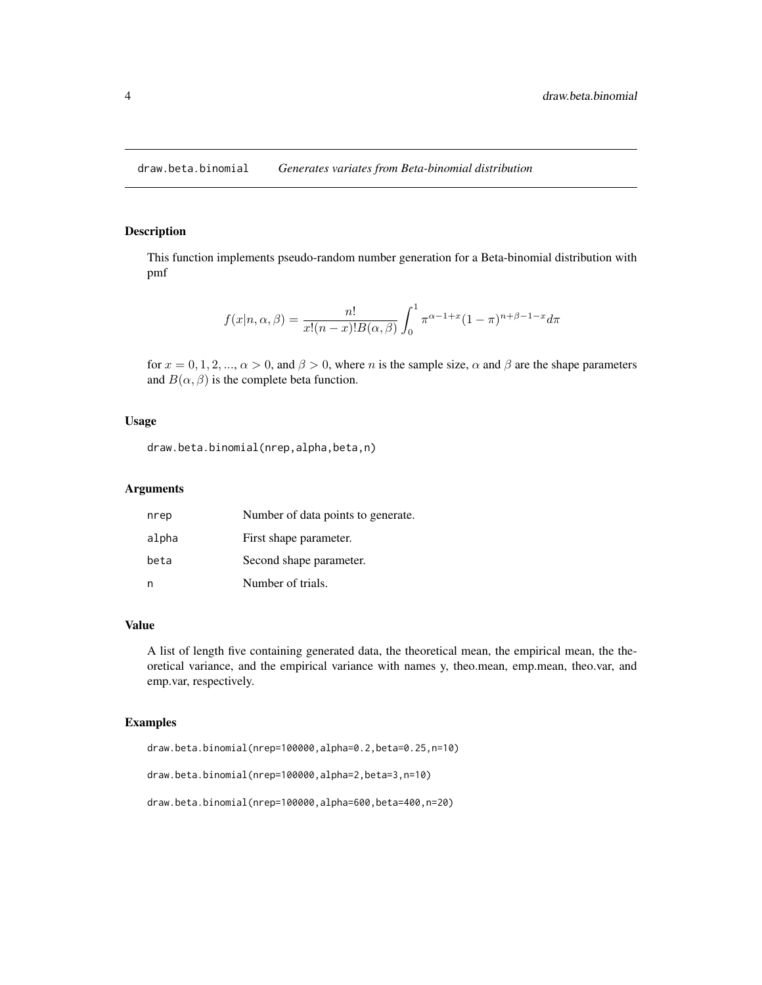<span id="page-3-0"></span>draw.beta.binomial *Generates variates from Beta-binomial distribution*

## Description

This function implements pseudo-random number generation for a Beta-binomial distribution with pmf

$$
f(x|n, \alpha, \beta) = \frac{n!}{x!(n-x)!B(\alpha, \beta)} \int_0^1 \pi^{\alpha-1+x} (1-\pi)^{n+\beta-1-x} d\pi
$$

for  $x = 0, 1, 2, ..., \alpha > 0$ , and  $\beta > 0$ , where n is the sample size,  $\alpha$  and  $\beta$  are the shape parameters and  $B(\alpha, \beta)$  is the complete beta function.

#### Usage

draw.beta.binomial(nrep,alpha,beta,n)

### Arguments

| nrep  | Number of data points to generate. |
|-------|------------------------------------|
| alpha | First shape parameter.             |
| beta  | Second shape parameter.            |
| n     | Number of trials.                  |

#### Value

A list of length five containing generated data, the theoretical mean, the empirical mean, the theoretical variance, and the empirical variance with names y, theo.mean, emp.mean, theo.var, and emp.var, respectively.

#### Examples

draw.beta.binomial(nrep=100000,alpha=0.2,beta=0.25,n=10)

draw.beta.binomial(nrep=100000,alpha=2,beta=3,n=10)

draw.beta.binomial(nrep=100000,alpha=600,beta=400,n=20)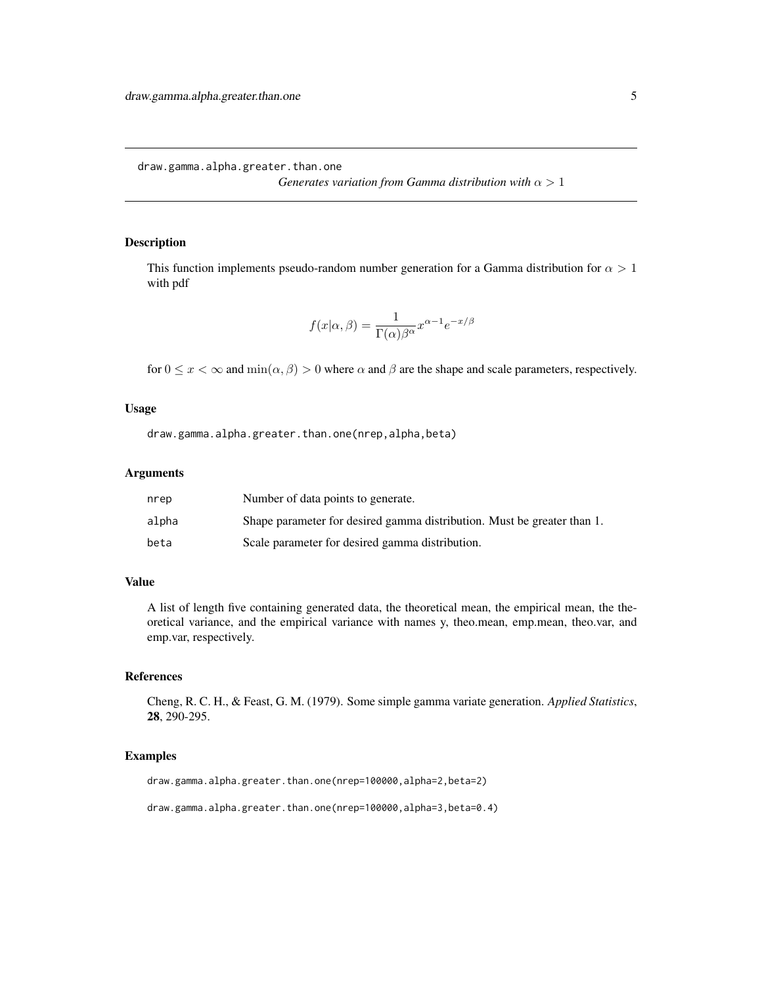<span id="page-4-0"></span>draw.gamma.alpha.greater.than.one

*Generates variation from Gamma distribution with*  $\alpha > 1$ 

#### Description

This function implements pseudo-random number generation for a Gamma distribution for  $\alpha > 1$ with pdf

$$
f(x|\alpha, \beta) = \frac{1}{\Gamma(\alpha)\beta^{\alpha}} x^{\alpha - 1} e^{-x/\beta}
$$

for  $0 \le x < \infty$  and  $\min(\alpha, \beta) > 0$  where  $\alpha$  and  $\beta$  are the shape and scale parameters, respectively.

#### Usage

draw.gamma.alpha.greater.than.one(nrep,alpha,beta)

## Arguments

| nrep  | Number of data points to generate.                                      |
|-------|-------------------------------------------------------------------------|
| alpha | Shape parameter for desired gamma distribution. Must be greater than 1. |
| beta  | Scale parameter for desired gamma distribution.                         |

## Value

A list of length five containing generated data, the theoretical mean, the empirical mean, the theoretical variance, and the empirical variance with names y, theo.mean, emp.mean, theo.var, and emp.var, respectively.

## References

Cheng, R. C. H., & Feast, G. M. (1979). Some simple gamma variate generation. *Applied Statistics*, 28, 290-295.

## Examples

draw.gamma.alpha.greater.than.one(nrep=100000,alpha=2,beta=2)

draw.gamma.alpha.greater.than.one(nrep=100000,alpha=3,beta=0.4)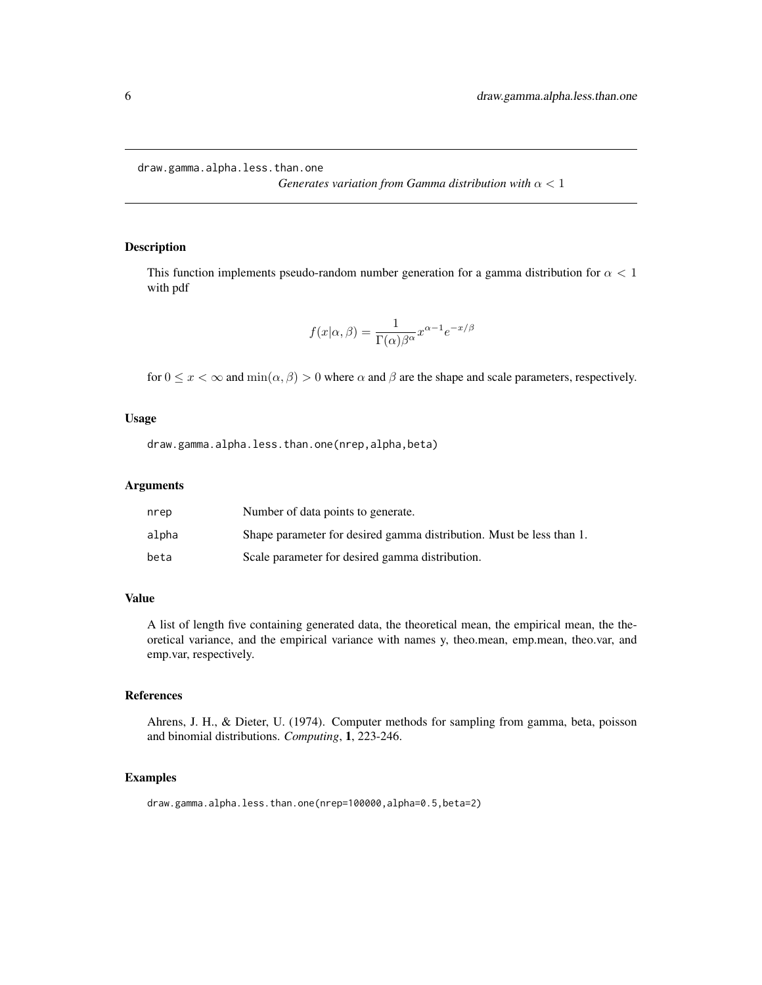<span id="page-5-0"></span>draw.gamma.alpha.less.than.one

*Generates variation from Gamma distribution with* α < 1

## Description

This function implements pseudo-random number generation for a gamma distribution for  $\alpha < 1$ with pdf

$$
f(x|\alpha, \beta) = \frac{1}{\Gamma(\alpha)\beta^{\alpha}} x^{\alpha - 1} e^{-x/\beta}
$$

for  $0 \leq x < \infty$  and  $\min(\alpha, \beta) > 0$  where  $\alpha$  and  $\beta$  are the shape and scale parameters, respectively.

## Usage

draw.gamma.alpha.less.than.one(nrep,alpha,beta)

## Arguments

| nrep  | Number of data points to generate.                                   |
|-------|----------------------------------------------------------------------|
| alpha | Shape parameter for desired gamma distribution. Must be less than 1. |
| beta  | Scale parameter for desired gamma distribution.                      |

## Value

A list of length five containing generated data, the theoretical mean, the empirical mean, the theoretical variance, and the empirical variance with names y, theo.mean, emp.mean, theo.var, and emp.var, respectively.

#### References

Ahrens, J. H., & Dieter, U. (1974). Computer methods for sampling from gamma, beta, poisson and binomial distributions. *Computing*, 1, 223-246.

#### Examples

draw.gamma.alpha.less.than.one(nrep=100000,alpha=0.5,beta=2)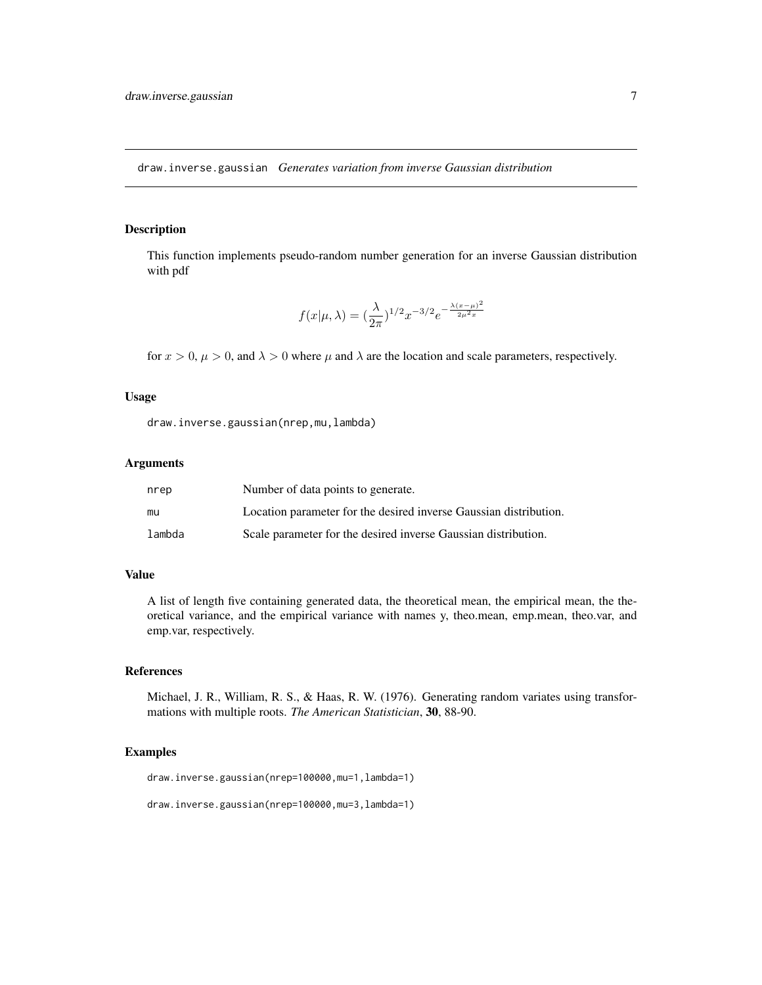<span id="page-6-0"></span>draw.inverse.gaussian *Generates variation from inverse Gaussian distribution*

#### Description

This function implements pseudo-random number generation for an inverse Gaussian distribution with pdf

$$
f(x|\mu,\lambda) = (\frac{\lambda}{2\pi})^{1/2} x^{-3/2} e^{-\frac{\lambda(x-\mu)^2}{2\mu^2 x}}
$$

for  $x > 0$ ,  $\mu > 0$ , and  $\lambda > 0$  where  $\mu$  and  $\lambda$  are the location and scale parameters, respectively.

#### Usage

draw.inverse.gaussian(nrep,mu,lambda)

#### Arguments

| nrep   | Number of data points to generate.                                |
|--------|-------------------------------------------------------------------|
| mu     | Location parameter for the desired inverse Gaussian distribution. |
| lambda | Scale parameter for the desired inverse Gaussian distribution.    |

## Value

A list of length five containing generated data, the theoretical mean, the empirical mean, the theoretical variance, and the empirical variance with names y, theo.mean, emp.mean, theo.var, and emp.var, respectively.

#### References

Michael, J. R., William, R. S., & Haas, R. W. (1976). Generating random variates using transformations with multiple roots. *The American Statistician*, 30, 88-90.

## Examples

draw.inverse.gaussian(nrep=100000,mu=1,lambda=1)

```
draw.inverse.gaussian(nrep=100000,mu=3,lambda=1)
```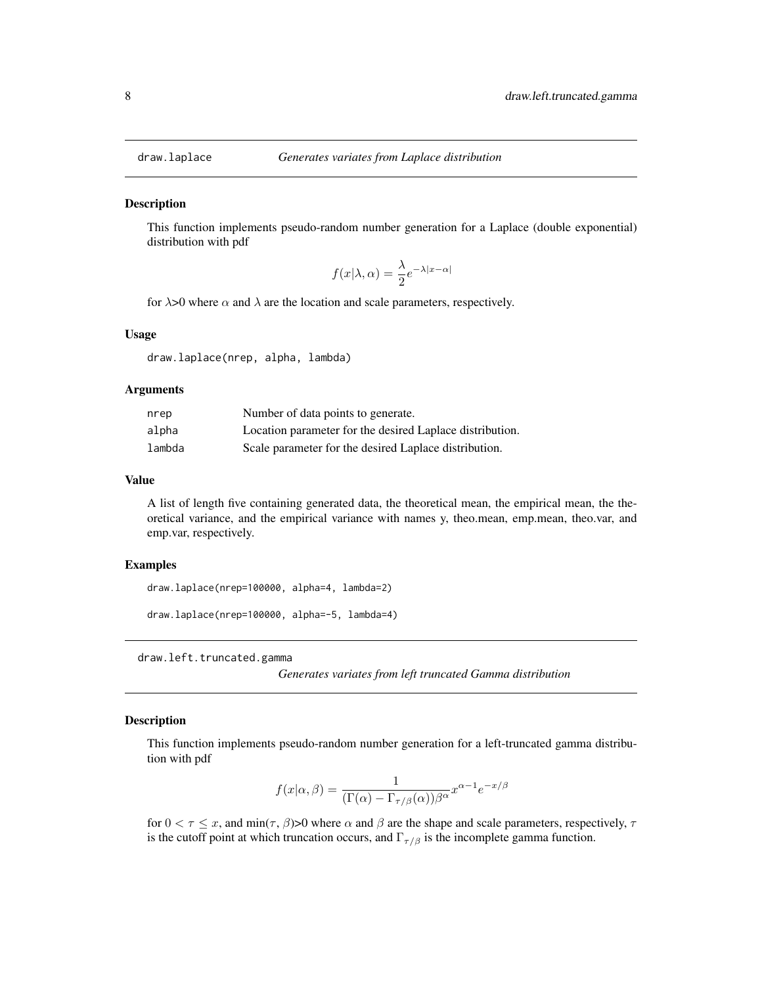<span id="page-7-0"></span>

This function implements pseudo-random number generation for a Laplace (double exponential) distribution with pdf

$$
f(x|\lambda, \alpha) = \frac{\lambda}{2} e^{-\lambda |x - \alpha|}
$$

for  $\lambda$ >0 where  $\alpha$  and  $\lambda$  are the location and scale parameters, respectively.

### Usage

draw.laplace(nrep, alpha, lambda)

#### Arguments

| nrep   | Number of data points to generate.                       |
|--------|----------------------------------------------------------|
| alpha  | Location parameter for the desired Laplace distribution. |
| lambda | Scale parameter for the desired Laplace distribution.    |

## Value

A list of length five containing generated data, the theoretical mean, the empirical mean, the theoretical variance, and the empirical variance with names y, theo.mean, emp.mean, theo.var, and emp.var, respectively.

#### Examples

draw.laplace(nrep=100000, alpha=4, lambda=2)

draw.laplace(nrep=100000, alpha=-5, lambda=4)

draw.left.truncated.gamma

*Generates variates from left truncated Gamma distribution*

## Description

This function implements pseudo-random number generation for a left-truncated gamma distribution with pdf

$$
f(x|\alpha, \beta) = \frac{1}{(\Gamma(\alpha) - \Gamma_{\tau/\beta}(\alpha))\beta^{\alpha}} x^{\alpha - 1} e^{-x/\beta}
$$

for  $0 < \tau \leq x$ , and min $(\tau, \beta)$ >0 where  $\alpha$  and  $\beta$  are the shape and scale parameters, respectively,  $\tau$ is the cutoff point at which truncation occurs, and  $\Gamma_{\tau/\beta}$  is the incomplete gamma function.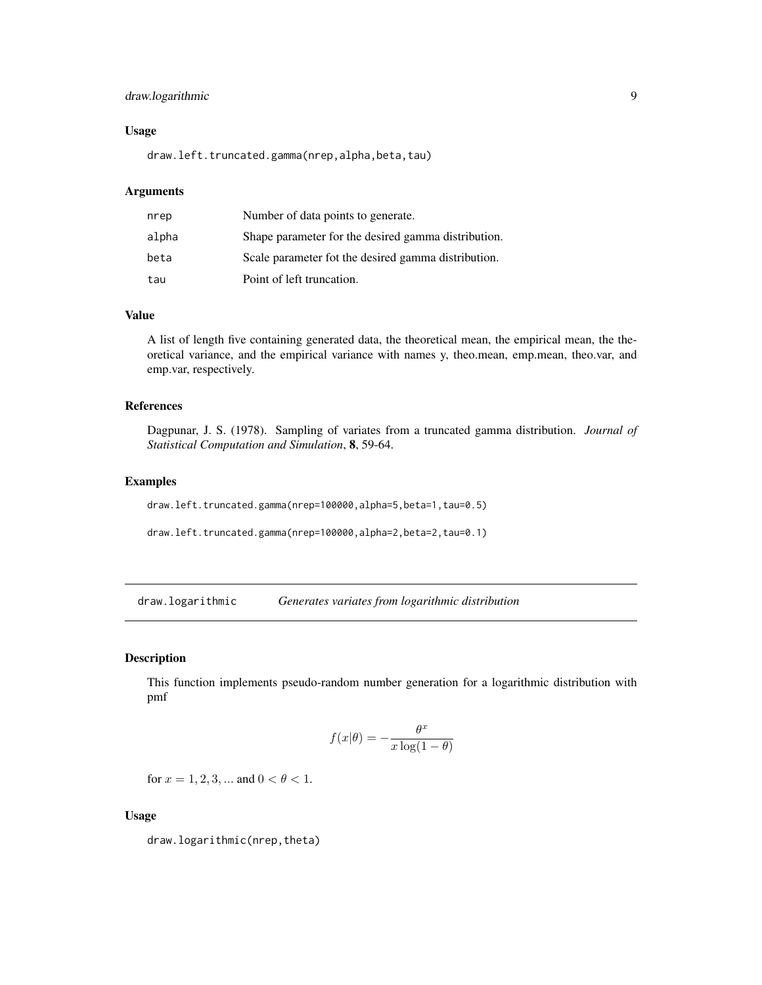## <span id="page-8-0"></span>draw.logarithmic 9

#### Usage

draw.left.truncated.gamma(nrep,alpha,beta,tau)

## Arguments

| nrep  | Number of data points to generate.                  |
|-------|-----------------------------------------------------|
| alpha | Shape parameter for the desired gamma distribution. |
| beta  | Scale parameter fot the desired gamma distribution. |
| tau   | Point of left truncation.                           |

## Value

A list of length five containing generated data, the theoretical mean, the empirical mean, the theoretical variance, and the empirical variance with names y, theo.mean, emp.mean, theo.var, and emp.var, respectively.

## References

Dagpunar, J. S. (1978). Sampling of variates from a truncated gamma distribution. *Journal of Statistical Computation and Simulation*, 8, 59-64.

## Examples

draw.left.truncated.gamma(nrep=100000,alpha=5,beta=1,tau=0.5)

draw.left.truncated.gamma(nrep=100000,alpha=2,beta=2,tau=0.1)

draw.logarithmic *Generates variates from logarithmic distribution*

#### Description

This function implements pseudo-random number generation for a logarithmic distribution with pmf

$$
f(x|\theta) = -\frac{\theta^x}{x \log(1-\theta)}
$$

for  $x = 1, 2, 3, ...$  and  $0 < \theta < 1$ .

## Usage

draw.logarithmic(nrep,theta)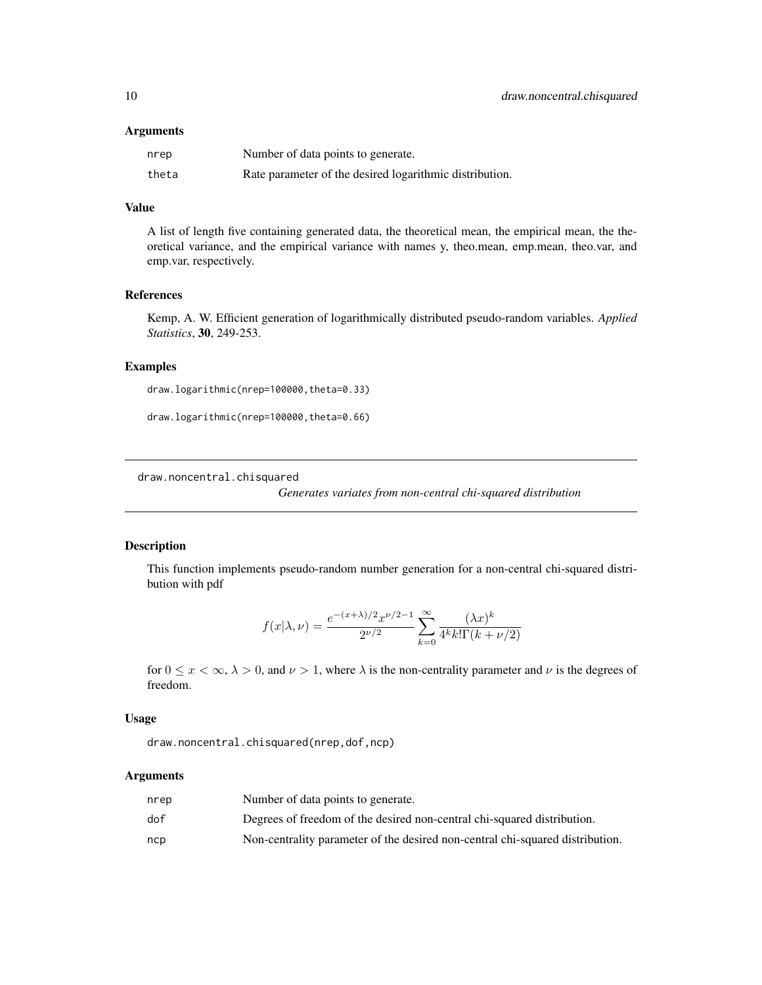#### <span id="page-9-0"></span>Arguments

| nrep  | Number of data points to generate.                      |
|-------|---------------------------------------------------------|
| theta | Rate parameter of the desired logarithmic distribution. |

## Value

A list of length five containing generated data, the theoretical mean, the empirical mean, the theoretical variance, and the empirical variance with names y, theo.mean, emp.mean, theo.var, and emp.var, respectively.

## References

Kemp, A. W. Efficient generation of logarithmically distributed pseudo-random variables. *Applied Statistics*, 30, 249-253.

#### Examples

draw.logarithmic(nrep=100000,theta=0.33)

draw.logarithmic(nrep=100000,theta=0.66)

<span id="page-9-1"></span>draw.noncentral.chisquared

*Generates variates from non-central chi-squared distribution*

#### Description

This function implements pseudo-random number generation for a non-central chi-squared distribution with pdf

$$
f(x|\lambda,\nu)=\frac{e^{-(x+\lambda)/2}x^{\nu/2-1}}{2^{\nu/2}}\sum_{k=0}^{\infty}\frac{(\lambda x)^k}{4^k k!\Gamma(k+\nu/2)}
$$

for  $0 \le x < \infty$ ,  $\lambda > 0$ , and  $\nu > 1$ , where  $\lambda$  is the non-centrality parameter and  $\nu$  is the degrees of freedom.

## Usage

draw.noncentral.chisquared(nrep,dof,ncp)

## Arguments

| nrep | Number of data points to generate.                                            |
|------|-------------------------------------------------------------------------------|
| dof  | Degrees of freedom of the desired non-central chi-squared distribution.       |
| ncp  | Non-centrality parameter of the desired non-central chi-squared distribution. |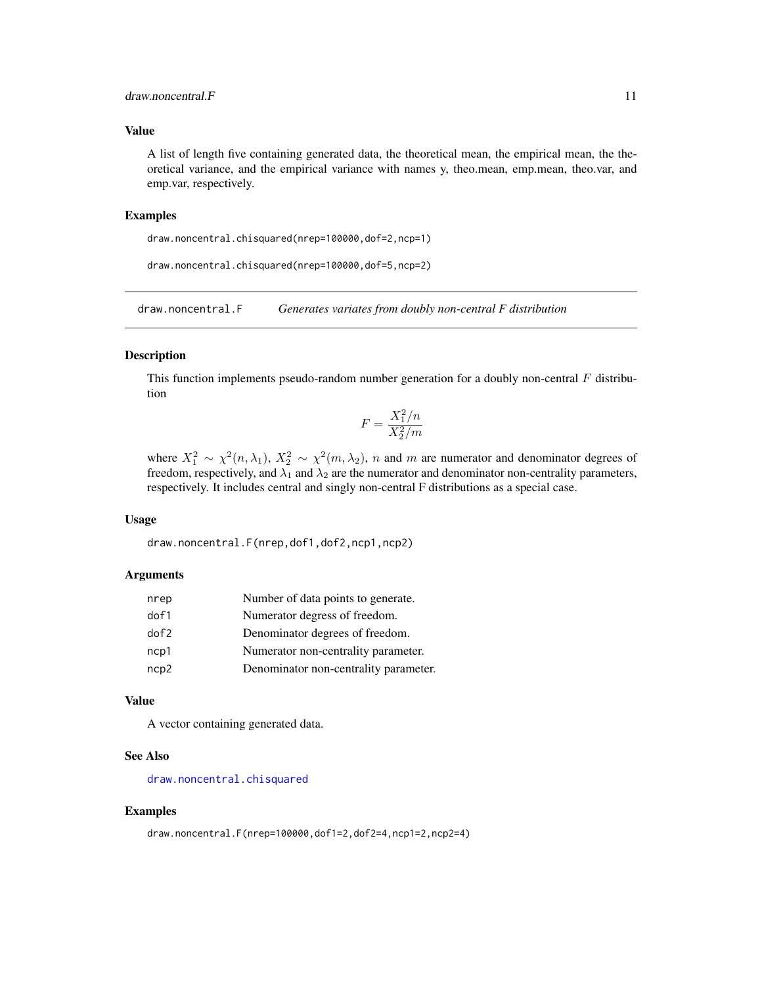## <span id="page-10-0"></span>draw.noncentral.F 11

#### Value

A list of length five containing generated data, the theoretical mean, the empirical mean, the theoretical variance, and the empirical variance with names y, theo.mean, emp.mean, theo.var, and emp.var, respectively.

#### Examples

```
draw.noncentral.chisquared(nrep=100000,dof=2,ncp=1)
```

```
draw.noncentral.chisquared(nrep=100000,dof=5,ncp=2)
```
draw.noncentral.F *Generates variates from doubly non-central F distribution*

## Description

This function implements pseudo-random number generation for a doubly non-central  $F$  distribution

$$
F = \frac{X_1^2/n}{X_2^2/m}
$$

where  $X_1^2 \sim \chi^2(n,\lambda_1), X_2^2 \sim \chi^2(m,\lambda_2), n$  and m are numerator and denominator degrees of freedom, respectively, and  $\lambda_1$  and  $\lambda_2$  are the numerator and denominator non-centrality parameters, respectively. It includes central and singly non-central F distributions as a special case.

### Usage

draw.noncentral.F(nrep,dof1,dof2,ncp1,ncp2)

#### Arguments

| nrep       | Number of data points to generate.    |
|------------|---------------------------------------|
| dof1       | Numerator degress of freedom.         |
| $d$ of $2$ | Denominator degrees of freedom.       |
| ncp1       | Numerator non-centrality parameter.   |
| ncp2       | Denominator non-centrality parameter. |

#### Value

A vector containing generated data.

## See Also

[draw.noncentral.chisquared](#page-9-1)

#### Examples

```
draw.noncentral.F(nrep=100000,dof1=2,dof2=4,ncp1=2,ncp2=4)
```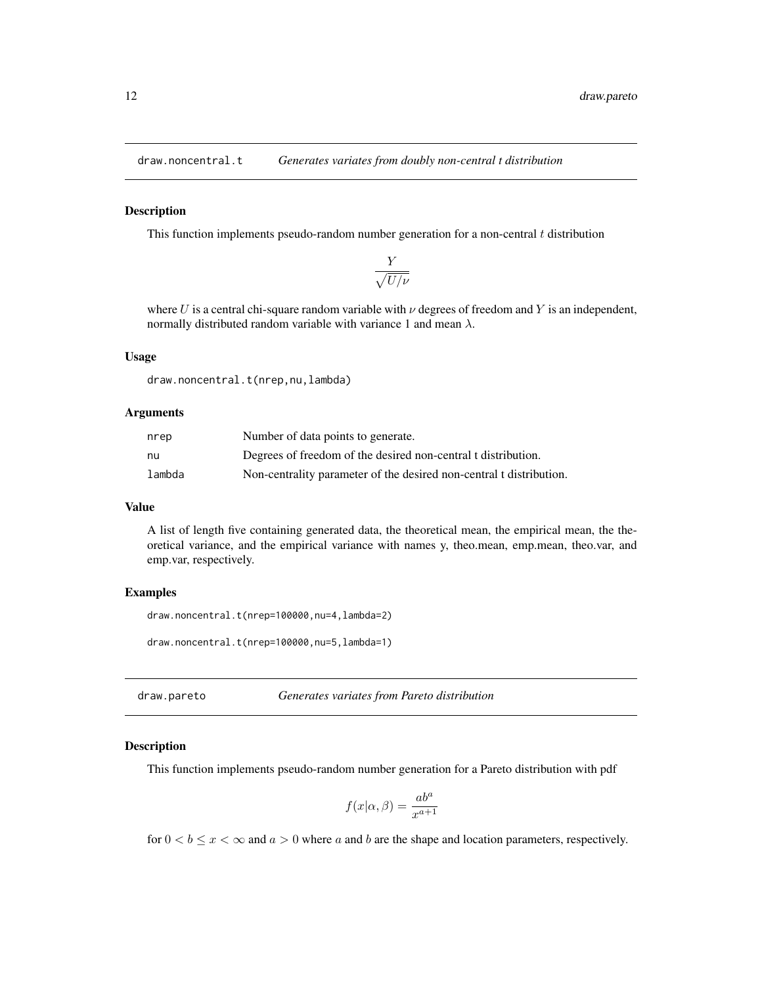<span id="page-11-0"></span>

This function implements pseudo-random number generation for a non-central  $t$  distribution

$$
\frac{Y}{\sqrt{U/\nu}}
$$

where U is a central chi-square random variable with  $\nu$  degrees of freedom and Y is an independent, normally distributed random variable with variance 1 and mean  $\lambda$ .

#### Usage

draw.noncentral.t(nrep,nu,lambda)

#### Arguments

| nrep   | Number of data points to generate.                                  |
|--------|---------------------------------------------------------------------|
| nu     | Degrees of freedom of the desired non-central t distribution.       |
| lambda | Non-centrality parameter of the desired non-central t distribution. |

## Value

A list of length five containing generated data, the theoretical mean, the empirical mean, the theoretical variance, and the empirical variance with names y, theo.mean, emp.mean, theo.var, and emp.var, respectively.

#### Examples

```
draw.noncentral.t(nrep=100000,nu=4,lambda=2)
```

```
draw.noncentral.t(nrep=100000,nu=5,lambda=1)
```
draw.pareto *Generates variates from Pareto distribution*

## Description

This function implements pseudo-random number generation for a Pareto distribution with pdf

$$
f(x|\alpha, \beta) = \frac{ab^a}{x^{a+1}}
$$

for  $0 < b \leq x < \infty$  and  $a > 0$  where a and b are the shape and location parameters, respectively.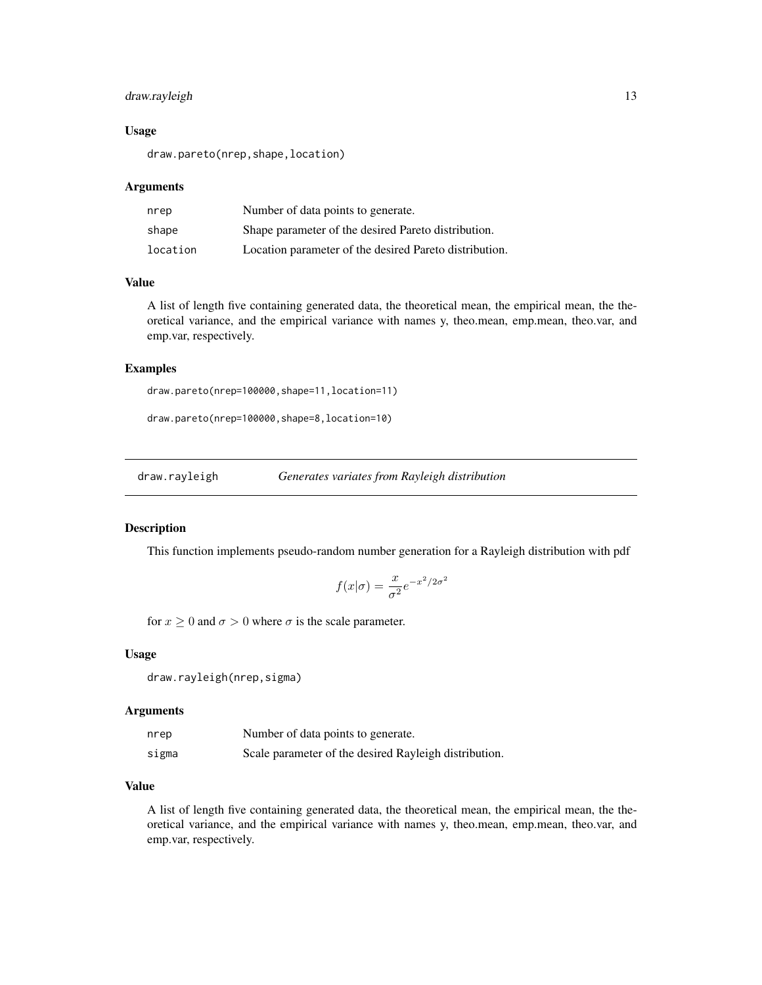## <span id="page-12-0"></span>draw.rayleigh 13

#### Usage

draw.pareto(nrep,shape,location)

#### Arguments

| nrep     | Number of data points to generate.                     |
|----------|--------------------------------------------------------|
| shape    | Shape parameter of the desired Pareto distribution.    |
| location | Location parameter of the desired Pareto distribution. |

#### Value

A list of length five containing generated data, the theoretical mean, the empirical mean, the theoretical variance, and the empirical variance with names y, theo.mean, emp.mean, theo.var, and emp.var, respectively.

## Examples

```
draw.pareto(nrep=100000,shape=11,location=11)
```
draw.pareto(nrep=100000,shape=8,location=10)

draw.rayleigh *Generates variates from Rayleigh distribution*

#### Description

This function implements pseudo-random number generation for a Rayleigh distribution with pdf

$$
f(x|\sigma) = \frac{x}{\sigma^2} e^{-x^2/2\sigma^2}
$$

for  $x \ge 0$  and  $\sigma > 0$  where  $\sigma$  is the scale parameter.

#### Usage

```
draw.rayleigh(nrep,sigma)
```
## Arguments

| nrep  | Number of data points to generate.                    |
|-------|-------------------------------------------------------|
| sigma | Scale parameter of the desired Rayleigh distribution. |

## Value

A list of length five containing generated data, the theoretical mean, the empirical mean, the theoretical variance, and the empirical variance with names y, theo.mean, emp.mean, theo.var, and emp.var, respectively.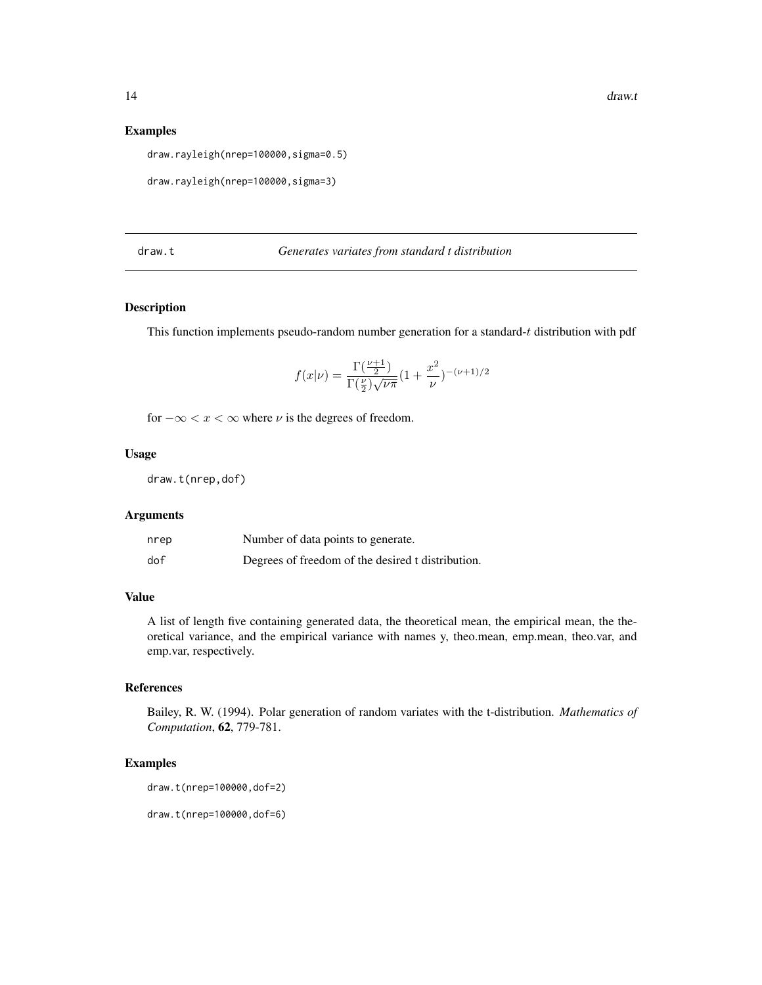#### Examples

draw.rayleigh(nrep=100000,sigma=0.5)

```
draw.rayleigh(nrep=100000,sigma=3)
```
draw.t *Generates variates from standard t distribution*

## Description

This function implements pseudo-random number generation for a standard- $t$  distribution with pdf

$$
f(x|\nu) = \frac{\Gamma(\frac{\nu+1}{2})}{\Gamma(\frac{\nu}{2})\sqrt{\nu\pi}} \left(1 + \frac{x^2}{\nu}\right)^{-(\nu+1)/2}
$$

for  $-\infty < x < \infty$  where  $\nu$  is the degrees of freedom.

## Usage

draw.t(nrep,dof)

#### Arguments

| nrep | Number of data points to generate.                |
|------|---------------------------------------------------|
| dof  | Degrees of freedom of the desired t distribution. |

#### Value

A list of length five containing generated data, the theoretical mean, the empirical mean, the theoretical variance, and the empirical variance with names y, theo.mean, emp.mean, theo.var, and emp.var, respectively.

## References

Bailey, R. W. (1994). Polar generation of random variates with the t-distribution. *Mathematics of Computation*, 62, 779-781.

## Examples

```
draw.t(nrep=100000,dof=2)
```
draw.t(nrep=100000,dof=6)

<span id="page-13-0"></span>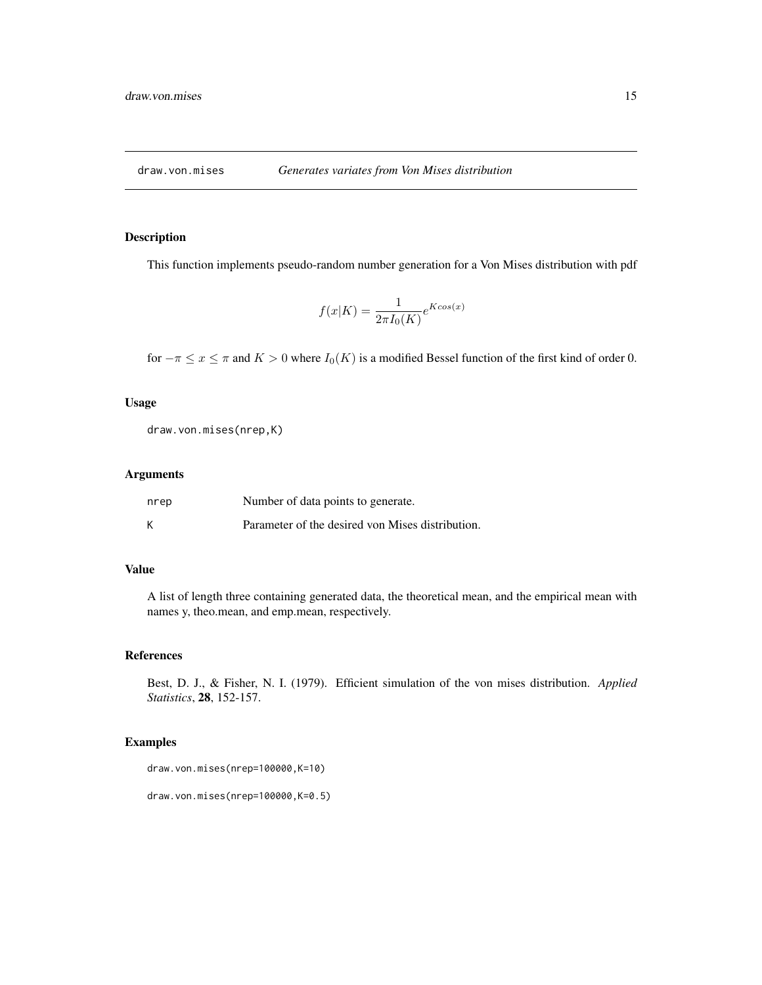<span id="page-14-0"></span>

This function implements pseudo-random number generation for a Von Mises distribution with pdf

$$
f(x|K) = \frac{1}{2\pi I_0(K)}e^{K\cos(x)}
$$

for  $-\pi \le x \le \pi$  and  $K > 0$  where  $I_0(K)$  is a modified Bessel function of the first kind of order 0.

## Usage

draw.von.mises(nrep,K)

## Arguments

| nrep | Number of data points to generate.               |
|------|--------------------------------------------------|
| К    | Parameter of the desired von Mises distribution. |

## Value

A list of length three containing generated data, the theoretical mean, and the empirical mean with names y, theo.mean, and emp.mean, respectively.

#### References

Best, D. J., & Fisher, N. I. (1979). Efficient simulation of the von mises distribution. *Applied Statistics*, 28, 152-157.

#### Examples

```
draw.von.mises(nrep=100000,K=10)
```

```
draw.von.mises(nrep=100000,K=0.5)
```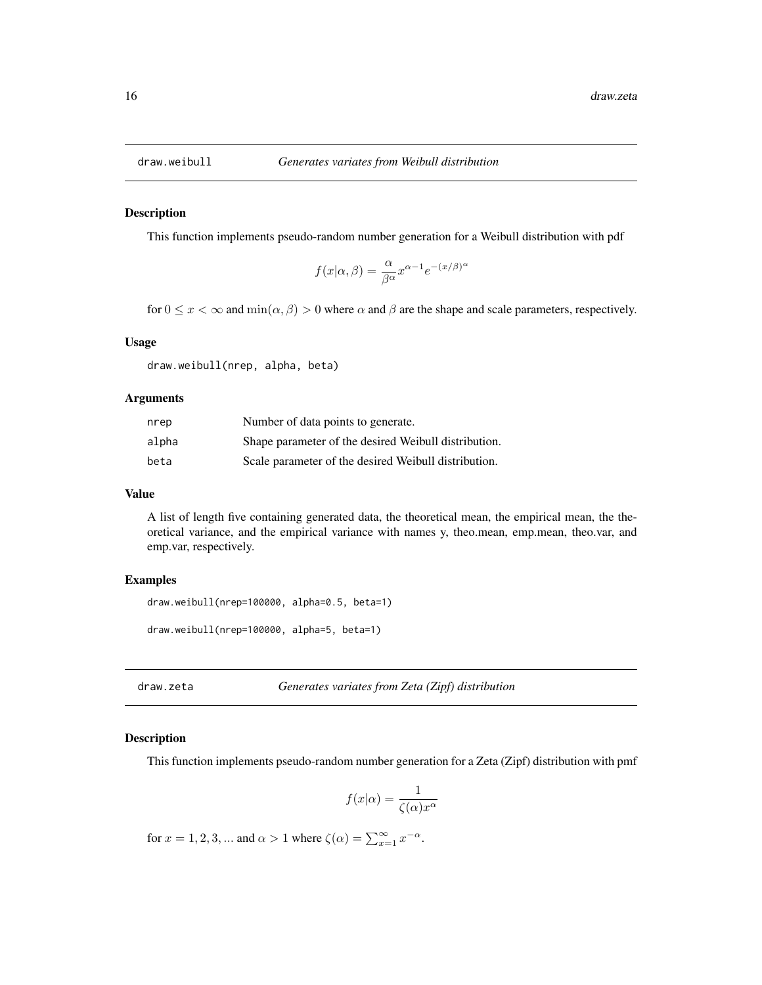<span id="page-15-0"></span>

This function implements pseudo-random number generation for a Weibull distribution with pdf

$$
f(x|\alpha, \beta) = \frac{\alpha}{\beta^{\alpha}} x^{\alpha - 1} e^{-(x/\beta)^{\alpha}}
$$

for  $0 \le x < \infty$  and  $\min(\alpha, \beta) > 0$  where  $\alpha$  and  $\beta$  are the shape and scale parameters, respectively.

## Usage

draw.weibull(nrep, alpha, beta)

#### Arguments

| nrep  | Number of data points to generate.                   |
|-------|------------------------------------------------------|
| alpha | Shape parameter of the desired Weibull distribution. |
| beta  | Scale parameter of the desired Weibull distribution. |

#### Value

A list of length five containing generated data, the theoretical mean, the empirical mean, the theoretical variance, and the empirical variance with names y, theo.mean, emp.mean, theo.var, and emp.var, respectively.

#### Examples

```
draw.weibull(nrep=100000, alpha=0.5, beta=1)
```

```
draw.weibull(nrep=100000, alpha=5, beta=1)
```
draw.zeta *Generates variates from Zeta (Zipf) distribution*

#### Description

This function implements pseudo-random number generation for a Zeta (Zipf) distribution with pmf

$$
f(x|\alpha) = \frac{1}{\zeta(\alpha)x^{\alpha}}
$$

for  $x = 1, 2, 3, ...$  and  $\alpha > 1$  where  $\zeta(\alpha) = \sum_{x=1}^{\infty} x^{-\alpha}$ .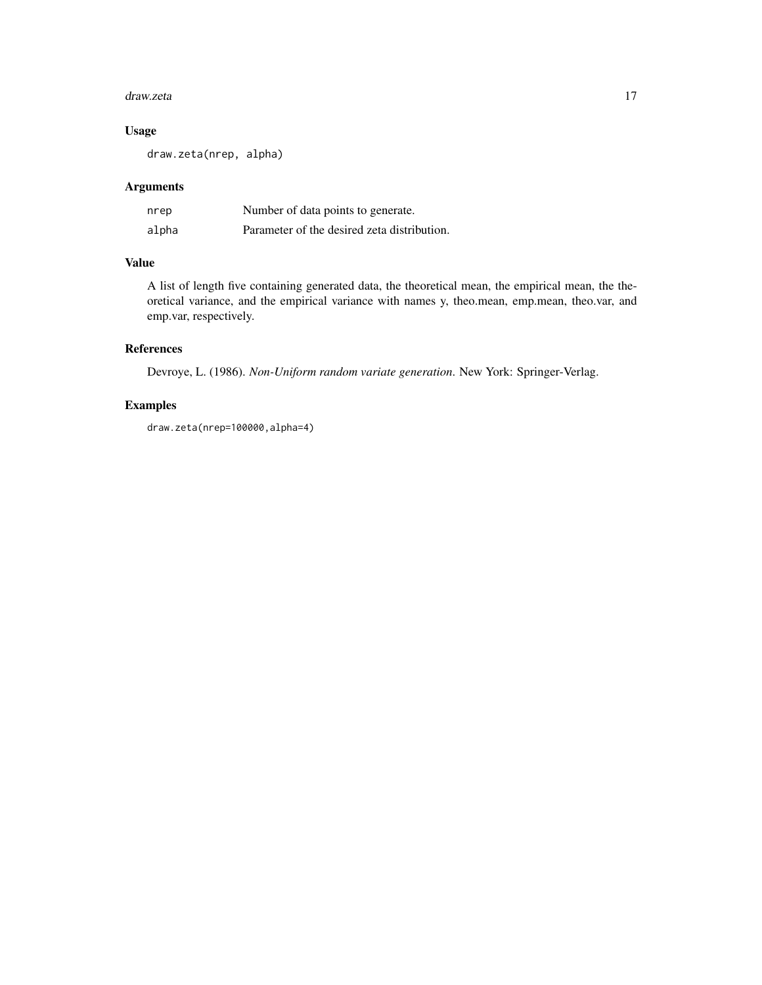#### draw.zeta 17

## Usage

draw.zeta(nrep, alpha)

## Arguments

| nrep  | Number of data points to generate.          |
|-------|---------------------------------------------|
| alpha | Parameter of the desired zeta distribution. |

## Value

A list of length five containing generated data, the theoretical mean, the empirical mean, the theoretical variance, and the empirical variance with names y, theo.mean, emp.mean, theo.var, and emp.var, respectively.

## References

Devroye, L. (1986). *Non-Uniform random variate generation*. New York: Springer-Verlag.

## Examples

draw.zeta(nrep=100000,alpha=4)